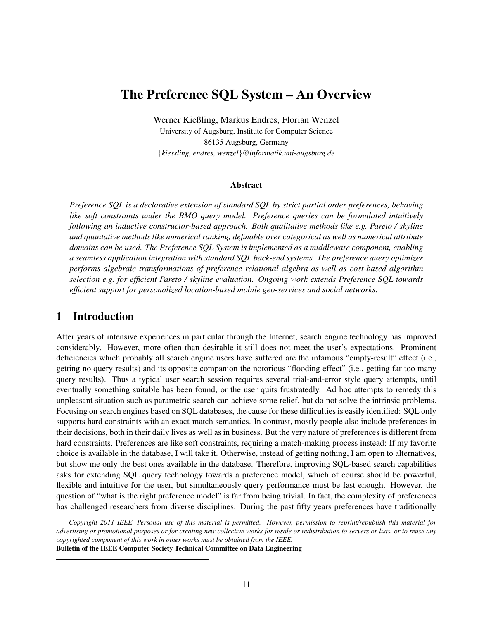# The Preference SQL System – An Overview

Werner Kießling, Markus Endres, Florian Wenzel University of Augsburg, Institute for Computer Science 86135 Augsburg, Germany *{kiessling, endres, wenzel}@informatik.uni-augsburg.de*

#### Abstract

*Preference SQL is a declarative extension of standard SQL by strict partial order preferences, behaving like soft constraints under the BMO query model. Preference queries can be formulated intuitively following an inductive constructor-based approach. Both qualitative methods like e.g. Pareto / skyline and quantative methods like numerical ranking, definable over categorical as well as numerical attribute domains can be used. The Preference SQL System is implemented as a middleware component, enabling a seamless application integration with standard SQL back-end systems. The preference query optimizer performs algebraic transformations of preference relational algebra as well as cost-based algorithm selection e.g. for efficient Pareto / skyline evaluation. Ongoing work extends Preference SQL towards efficient support for personalized location-based mobile geo-services and social networks.*

## 1 Introduction

After years of intensive experiences in particular through the Internet, search engine technology has improved considerably. However, more often than desirable it still does not meet the user's expectations. Prominent deficiencies which probably all search engine users have suffered are the infamous "empty-result" effect (i.e., getting no query results) and its opposite companion the notorious "flooding effect" (i.e., getting far too many query results). Thus a typical user search session requires several trial-and-error style query attempts, until eventually something suitable has been found, or the user quits frustratedly. Ad hoc attempts to remedy this unpleasant situation such as parametric search can achieve some relief, but do not solve the intrinsic problems. Focusing on search engines based on SQL databases, the cause for these difficulties is easily identified: SQL only supports hard constraints with an exact-match semantics. In contrast, mostly people also include preferences in their decisions, both in their daily lives as well as in business. But the very nature of preferences is different from hard constraints. Preferences are like soft constraints, requiring a match-making process instead: If my favorite choice is available in the database, I will take it. Otherwise, instead of getting nothing, I am open to alternatives, but show me only the best ones available in the database. Therefore, improving SQL-based search capabilities asks for extending SQL query technology towards a preference model, which of course should be powerful, flexible and intuitive for the user, but simultaneously query performance must be fast enough. However, the question of "what is the right preference model" is far from being trivial. In fact, the complexity of preferences has challenged researchers from diverse disciplines. During the past fifty years preferences have traditionally

*Copyright 2011 IEEE. Personal use of this material is permitted. However, permission to reprint/republish this material for advertising or promotional purposes or for creating new collective works for resale or redistribution to servers or lists, or to reuse any copyrighted component of this work in other works must be obtained from the IEEE.* Bulletin of the IEEE Computer Society Technical Committee on Data Engineering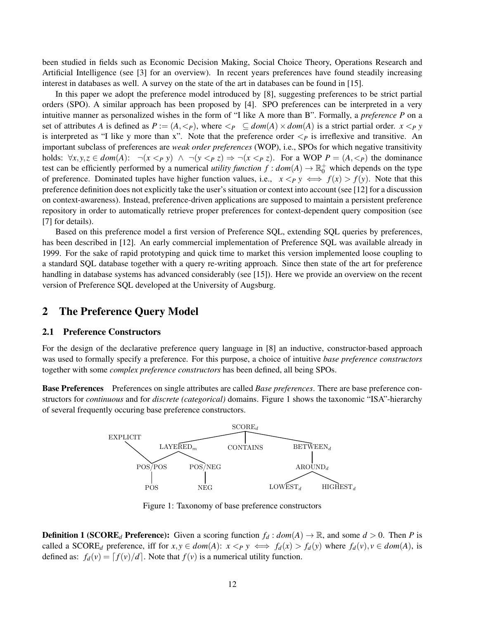been studied in fields such as Economic Decision Making, Social Choice Theory, Operations Research and Artificial Intelligence (see [3] for an overview). In recent years preferences have found steadily increasing interest in databases as well. A survey on the state of the art in databases can be found in [15].

In this paper we adopt the preference model introduced by [8], suggesting preferences to be strict partial orders (SPO). A similar approach has been proposed by [4]. SPO preferences can be interpreted in a very intuitive manner as personalized wishes in the form of "I like A more than B". Formally, a *preference P* on a set of attributes A is defined as  $P := (A, \langle p \rangle)$ , where  $\langle p \rangle \subseteq dom(A) \times dom(A)$  is a strict partial order.  $x \langle p \rangle y$ is interpreted as "I like y more than x". Note that the preference order  $\lt_p$  is irreflexive and transitive. An important subclass of preferences are *weak order preferences* (WOP), i.e., SPOs for which negative transitivity holds:  $\forall x, y, z \in dom(A)$ :  $\neg(x <_P y) \land \neg(y <_P z) \Rightarrow \neg(x <_P z)$ . For a WOP  $P = (A, <_P)$  the dominance test can be efficiently performed by a numerical *utility function*  $f : dom(A) \to \mathbb{R}^+_0$  which depends on the type of preference. Dominated tuples have higher function values, i.e.,  $x < p$   $y \iff f(x) > f(y)$ . Note that this preference definition does not explicitly take the user's situation or context into account (see [12] for a discussion on context-awareness). Instead, preference-driven applications are supposed to maintain a persistent preference repository in order to automatically retrieve proper preferences for context-dependent query composition (see [7] for details).

Based on this preference model a first version of Preference SQL, extending SQL queries by preferences, has been described in [12]. An early commercial implementation of Preference SQL was available already in 1999. For the sake of rapid prototyping and quick time to market this version implemented loose coupling to a standard SQL database together with a query re-writing approach. Since then state of the art for preference handling in database systems has advanced considerably (see [15]). Here we provide an overview on the recent version of Preference SQL developed at the University of Augsburg.

## 2 The Preference Query Model

#### 2.1 Preference Constructors

For the design of the declarative preference query language in [8] an inductive, constructor-based approach was used to formally specify a preference. For this purpose, a choice of intuitive *base preference constructors* together with some *complex preference constructors* has been defined, all being SPOs.

Base Preferences Preferences on single attributes are called *Base preferences*. There are base preference constructors for *continuous* and for *discrete (categorical)* domains. Figure 1 shows the taxonomic "ISA"-hierarchy of several frequently occuring base preference constructors.



Figure 1: Taxonomy of base preference constructors

**Definition 1 (SCORE**<sub>d</sub> **Preference):** Given a scoring function  $f_d$  :  $dom(A) \rightarrow \mathbb{R}$ , and some  $d > 0$ . Then P is called a SCORE<sub>d</sub> preference, iff for  $x, y \in dom(A)$ :  $x <_P y \iff f_d(x) > f_d(y)$  where  $f_d(v), v \in dom(A)$ , is defined as:  $f_d(v) = \frac{f(v)}{d}$ . Note that  $f(v)$  is a numerical utility function.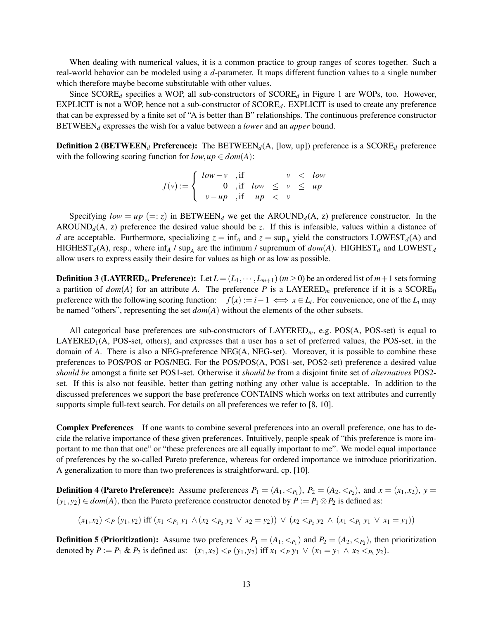When dealing with numerical values, it is a common practice to group ranges of scores together. Such a real-world behavior can be modeled using a *d*-parameter. It maps different function values to a single number which therefore maybe become substitutable with other values.

Since SCORE*<sup>d</sup>* specifies a WOP, all sub-constructors of SCORE*<sup>d</sup>* in Figure 1 are WOPs, too. However, EXPLICIT is not a WOP, hence not a sub-constructor of SCORE*d*. EXPLICIT is used to create any preference that can be expressed by a finite set of "A is better than B" relationships. The continuous preference constructor BETWEEN*<sup>d</sup>* expresses the wish for a value between a *lower* and an *upper* bound.

Definition 2 (BETWEEN*<sup>d</sup>* Preference): The BETWEEN*d*(A, [low, up]) preference is a SCORE*<sup>d</sup>* preference with the following scoring function for  $low, up \in dom(A)$ :

$$
f(v) := \begin{cases} \n\text{low} - v & \text{, if } & v < \text{low} \\ \n0 & \text{, if } \text{low} < v \leq u \\ \n0 & \text{, if } \text{up} < v \n\end{cases}
$$

Specifying  $low = up (=z)$  in BETWEEN<sub>d</sub> we get the AROUND<sub>d</sub>(A, z) preference constructor. In the AROUND<sub>d</sub>(A, z) preference the desired value should be z. If this is infeasible, values within a distance of *d* are acceptable. Furthermore, specializing  $z = \inf_A$  and  $z = \sup_A$  yield the constructors LOWEST<sub>*d*</sub>(A) and  $HIGHEST_d(A)$ , resp., where  $\inf_A / \sup_A$  are the infimum / supremum of  $dom(A)$ .  $HIGHEST_d$  and  $LOWEST_d$ allow users to express easily their desire for values as high or as low as possible.

**Definition 3 (LAYERED**<sub>m</sub> Preference): Let  $L = (L_1, \dots, L_{m+1})$  ( $m \ge 0$ ) be an ordered list of  $m+1$  sets forming a partition of  $dom(A)$  for an attribute A. The preference P is a LAYERED<sub>m</sub> preference if it is a SCORE<sub>0</sub> preference with the following scoring function:  $f(x) := i - 1 \iff x \in L_i$ . For convenience, one of the  $L_i$  may be named "others", representing the set *dom*(*A*) without the elements of the other subsets.

All categorical base preferences are sub-constructors of LAYERED*m*, e.g. POS(A, POS-set) is equal to  $LAYERED<sub>1</sub>(A, POS-set, others),$  and expresses that a user has a set of preferred values, the POS-set, in the domain of *A*. There is also a NEG-preference NEG(A, NEG-set). Moreover, it is possible to combine these preferences to POS/POS or POS/NEG. For the POS/POS(A, POS1-set, POS2-set) preference a desired value *should be* amongst a finite set POS1-set. Otherwise it *should be* from a disjoint finite set of *alternatives* POS2 set. If this is also not feasible, better than getting nothing any other value is acceptable. In addition to the discussed preferences we support the base preference CONTAINS which works on text attributes and currently supports simple full-text search. For details on all preferences we refer to [8, 10].

Complex Preferences If one wants to combine several preferences into an overall preference, one has to decide the relative importance of these given preferences. Intuitively, people speak of "this preference is more important to me than that one" or "these preferences are all equally important to me". We model equal importance of preferences by the so-called Pareto preference, whereas for ordered importance we introduce prioritization. A generalization to more than two preferences is straightforward, cp. [10].

**Definition 4 (Pareto Preference):** Assume preferences  $P_1 = (A_1, <_{P_1})$ ,  $P_2 = (A_2, <_{P_2})$ , and  $x = (x_1, x_2)$ ,  $y =$  $(y_1, y_2) \in dom(A)$ , then the Pareto preference constructor denoted by  $P := P_1 \otimes P_2$  is defined as:

$$
(x_1,x_2) <_P (y_1,y_2) \text{ iff } (x_1 <_{P_1} y_1 \land (x_2 <_{P_2} y_2 \lor x_2 = y_2)) \lor (x_2 <_{P_2} y_2 \land (x_1 <_{P_1} y_1 \lor x_1 = y_1))
$$

**Definition 5 (Prioritization):** Assume two preferences  $P_1 = (A_1, <_{P_1})$  and  $P_2 = (A_2, <_{P_2})$ , then prioritization denoted by  $P := P_1 \& P_2$  is defined as:  $(x_1, x_2) <_P (y_1, y_2)$  iff  $x_1 <_P y_1 \lor (x_1 = y_1 \land x_2 <_{P_2} y_2)$ .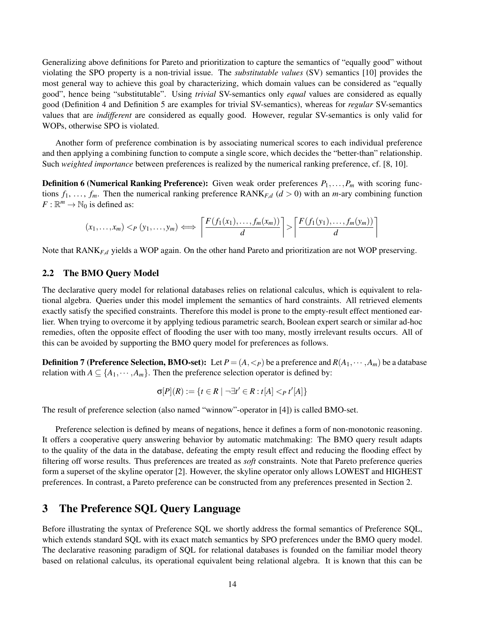Generalizing above definitions for Pareto and prioritization to capture the semantics of "equally good" without violating the SPO property is a non-trivial issue. The *substitutable values* (SV) semantics [10] provides the most general way to achieve this goal by characterizing, which domain values can be considered as "equally good", hence being "substitutable". Using *trivial* SV-semantics only *equal* values are considered as equally good (Definition 4 and Definition 5 are examples for trivial SV-semantics), whereas for *regular* SV-semantics values that are *indifferent* are considered as equally good. However, regular SV-semantics is only valid for WOPs, otherwise SPO is violated.

Another form of preference combination is by associating numerical scores to each individual preference and then applying a combining function to compute a single score, which decides the "better-than" relationship. Such *weighted importance* between preferences is realized by the numerical ranking preference, cf. [8, 10].

**Definition 6 (Numerical Ranking Preference):** Given weak order preferences  $P_1, \ldots, P_m$  with scoring functions  $f_1, \ldots, f_m$ . Then the numerical ranking preference RANK $_{F,d}$  ( $d > 0$ ) with an *m*-ary combining function  $F: \mathbb{R}^m \to \mathbb{N}_0$  is defined as:

$$
(x_1,\ldots,x_m)<\_P(y_1,\ldots,y_m)&\Longleftrightarrow\left\lceil\frac{F(f_1(x_1),\ldots,f_m(x_m))}{d}\right\rceil>\left\lceil\frac{F(f_1(y_1),\ldots,f_m(y_m))}{d}\right\rceil
$$

Note that RANK*F,<sup>d</sup>* yields a WOP again. On the other hand Pareto and prioritization are not WOP preserving.

#### 2.2 The BMO Query Model

The declarative query model for relational databases relies on relational calculus, which is equivalent to relational algebra. Queries under this model implement the semantics of hard constraints. All retrieved elements exactly satisfy the specified constraints. Therefore this model is prone to the empty-result effect mentioned earlier. When trying to overcome it by applying tedious parametric search, Boolean expert search or similar ad-hoc remedies, often the opposite effect of flooding the user with too many, mostly irrelevant results occurs. All of this can be avoided by supporting the BMO query model for preferences as follows.

**Definition 7 (Preference Selection, BMO-set):** Let  $P = (A, \lt p)$  be a preference and  $R(A_1, \dots, A_m)$  be a database relation with  $A \subseteq \{A_1, \dots, A_m\}$ . Then the preference selection operator is defined by:

$$
\sigma[P](R) := \{t \in R \mid \neg \exists t' \in R : t[A] <_{P} t'[A]\}
$$

The result of preference selection (also named "winnow"-operator in [4]) is called BMO-set.

Preference selection is defined by means of negations, hence it defines a form of non-monotonic reasoning. It offers a cooperative query answering behavior by automatic matchmaking: The BMO query result adapts to the quality of the data in the database, defeating the empty result effect and reducing the flooding effect by filtering off worse results. Thus preferences are treated as *soft* constraints. Note that Pareto preference queries form a superset of the skyline operator [2]. However, the skyline operator only allows LOWEST and HIGHEST preferences. In contrast, a Pareto preference can be constructed from any preferences presented in Section 2.

## 3 The Preference SQL Query Language

Before illustrating the syntax of Preference SQL we shortly address the formal semantics of Preference SQL, which extends standard SQL with its exact match semantics by SPO preferences under the BMO query model. The declarative reasoning paradigm of SQL for relational databases is founded on the familiar model theory based on relational calculus, its operational equivalent being relational algebra. It is known that this can be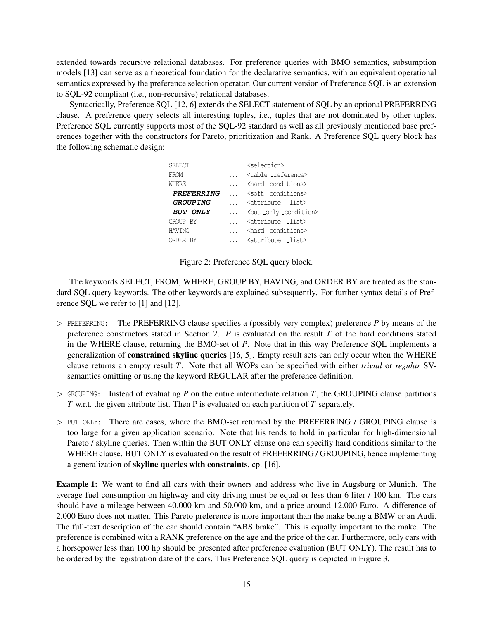extended towards recursive relational databases. For preference queries with BMO semantics, subsumption models [13] can serve as a theoretical foundation for the declarative semantics, with an equivalent operational semantics expressed by the preference selection operator. Our current version of Preference SQL is an extension to SQL-92 compliant (i.e., non-recursive) relational databases.

Syntactically, Preference SQL [12, 6] extends the SELECT statement of SQL by an optional PREFERRING clause. A preference query selects all interesting tuples, i.e., tuples that are not dominated by other tuples. Preference SQL currently supports most of the SQL-92 standard as well as all previously mentioned base preferences together with the constructors for Pareto, prioritization and Rank. A Preference SQL query block has the following schematic design:

| SELECT          | <selection></selection>            |
|-----------------|------------------------------------|
| <b>FROM</b>     | <table _reference=""></table>      |
| WHERE.          | <hard _conditions=""></hard>       |
| PREFERRING      | <soft conditions=""></soft>        |
| <b>GROUPING</b> | <attribute list=""></attribute>    |
| <b>BUT ONLY</b> | <but _condition="" _only=""></but> |
| GROUP BY        | <attribute _list=""></attribute>   |
| <b>HAVING</b>   | <hard _conditions=""></hard>       |
| ORDER BY        | <attribute _list=""></attribute>   |

Figure 2: Preference SQL query block.

The keywords SELECT, FROM, WHERE, GROUP BY, HAVING, and ORDER BY are treated as the standard SQL query keywords. The other keywords are explained subsequently. For further syntax details of Preference SQL we refer to [1] and [12].

- $\triangleright$  PREFERRING: The PREFERRING clause specifies a (possibly very complex) preference *P* by means of the preference constructors stated in Section 2. *P* is evaluated on the result *T* of the hard conditions stated in the WHERE clause, returning the BMO-set of *P*. Note that in this way Preference SQL implements a generalization of constrained skyline queries [16, 5]. Empty result sets can only occur when the WHERE clause returns an empty result *T*. Note that all WOPs can be specified with either *trivial* or *regular* SVsemantics omitting or using the keyword REGULAR after the preference definition.
- $\triangleright$  GROUPING: Instead of evaluating *P* on the entire intermediate relation *T*, the GROUPING clause partitions *T* w.r.t. the given attribute list. Then P is evaluated on each partition of *T* separately.
- $\triangleright$  BUT ONLY: There are cases, where the BMO-set returned by the PREFERRING / GROUPING clause is too large for a given application scenario. Note that his tends to hold in particular for high-dimensional Pareto / skyline queries. Then within the BUT ONLY clause one can specifiy hard conditions similar to the WHERE clause. BUT ONLY is evaluated on the result of PREFERRING / GROUPING, hence implementing a generalization of skyline queries with constraints, cp. [16].

Example 1: We want to find all cars with their owners and address who live in Augsburg or Munich. The average fuel consumption on highway and city driving must be equal or less than 6 liter / 100 km. The cars should have a mileage between 40.000 km and 50.000 km, and a price around 12.000 Euro. A difference of 2.000 Euro does not matter. This Pareto preference is more important than the make being a BMW or an Audi. The full-text description of the car should contain "ABS brake". This is equally important to the make. The preference is combined with a RANK preference on the age and the price of the car. Furthermore, only cars with a horsepower less than 100 hp should be presented after preference evaluation (BUT ONLY). The result has to be ordered by the registration date of the cars. This Preference SQL query is depicted in Figure 3.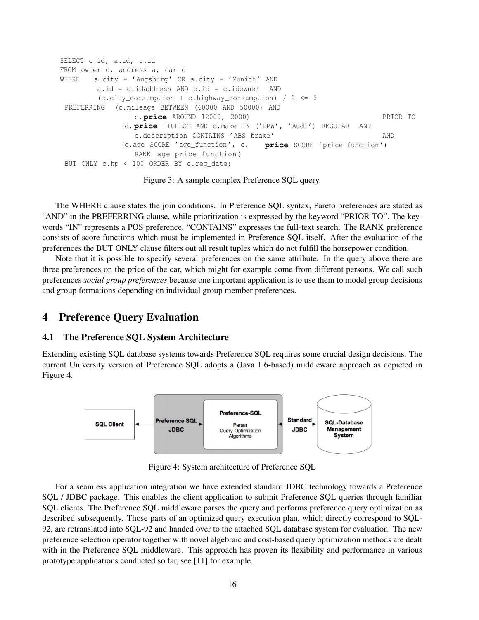```
SELECT o. id, a. id, c. id
FROM owner o, address a, car c
WHERE a.city = 'Augsburg' OR a.city = 'Munich' AND
        a. id = o. idaddress AND o. id = c. idowner AND
        (c. city_{consumption} + c. highway_{consumption}) / 2 \leq 6PREFERRING (c.mileage BETWEEN (40000 AND 50000) AND
                 c . price AROUND 12000 , 2000) PRIOR TO
              ( c . price HIGHEST AND c . make IN ( ' BMW ' , ' Audi ') REGULAR AND
                 c . description CONTAINS ' ABS brake ' AND
              ( c . age SCORE ' age_function ' , c . price SCORE ' price_function ')
                 RANK age_price_function)
 BUT ONLY c . hp < 100 ORDER BY c . reg_date ;
```
Figure 3: A sample complex Preference SQL query.

The WHERE clause states the join conditions. In Preference SQL syntax, Pareto preferences are stated as "AND" in the PREFERRING clause, while prioritization is expressed by the keyword "PRIOR TO". The keywords "IN" represents a POS preference, "CONTAINS" expresses the full-text search. The RANK preference consists of score functions which must be implemented in Preference SQL itself. After the evaluation of the preferences the BUT ONLY clause filters out all result tuples which do not fulfill the horsepower condition.

Note that it is possible to specify several preferences on the same attribute. In the query above there are three preferences on the price of the car, which might for example come from different persons. We call such preferences *social group preferences* because one important application is to use them to model group decisions and group formations depending on individual group member preferences.

# 4 Preference Query Evaluation

#### 4.1 The Preference SQL System Architecture

Extending existing SQL database systems towards Preference SQL requires some crucial design decisions. The current University version of Preference SQL adopts a (Java 1.6-based) middleware approach as depicted in Figure 4.



Figure 4: System architecture of Preference SQL

For a seamless application integration we have extended standard JDBC technology towards a Preference SQL / JDBC package. This enables the client application to submit Preference SQL queries through familiar SQL clients. The Preference SQL middleware parses the query and performs preference query optimization as described subsequently. Those parts of an optimized query execution plan, which directly correspond to SQL-92, are retranslated into SQL-92 and handed over to the attached SQL database system for evaluation. The new preference selection operator together with novel algebraic and cost-based query optimization methods are dealt with in the Preference SQL middleware. This approach has proven its flexibility and performance in various prototype applications conducted so far, see [11] for example.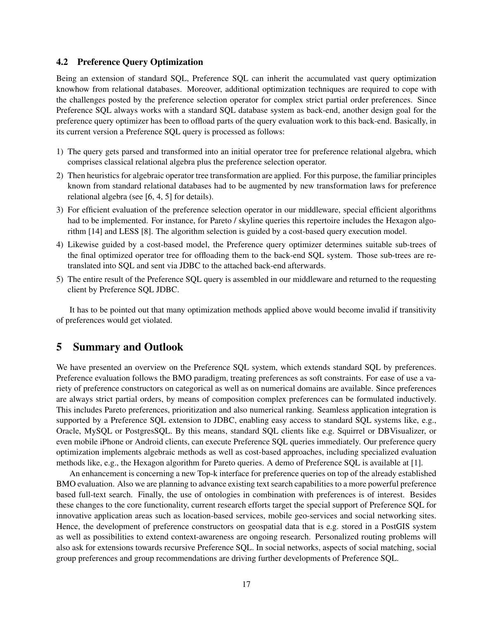### 4.2 Preference Query Optimization

Being an extension of standard SQL, Preference SQL can inherit the accumulated vast query optimization knowhow from relational databases. Moreover, additional optimization techniques are required to cope with the challenges posted by the preference selection operator for complex strict partial order preferences. Since Preference SQL always works with a standard SQL database system as back-end, another design goal for the preference query optimizer has been to offload parts of the query evaluation work to this back-end. Basically, in its current version a Preference SQL query is processed as follows:

- 1) The query gets parsed and transformed into an initial operator tree for preference relational algebra, which comprises classical relational algebra plus the preference selection operator.
- 2) Then heuristics for algebraic operator tree transformation are applied. For this purpose, the familiar principles known from standard relational databases had to be augmented by new transformation laws for preference relational algebra (see [6, 4, 5] for details).
- 3) For efficient evaluation of the preference selection operator in our middleware, special efficient algorithms had to be implemented. For instance, for Pareto / skyline queries this repertoire includes the Hexagon algorithm [14] and LESS [8]. The algorithm selection is guided by a cost-based query execution model.
- 4) Likewise guided by a cost-based model, the Preference query optimizer determines suitable sub-trees of the final optimized operator tree for offloading them to the back-end SQL system. Those sub-trees are retranslated into SQL and sent via JDBC to the attached back-end afterwards.
- 5) The entire result of the Preference SQL query is assembled in our middleware and returned to the requesting client by Preference SQL JDBC.

It has to be pointed out that many optimization methods applied above would become invalid if transitivity of preferences would get violated.

## 5 Summary and Outlook

We have presented an overview on the Preference SOL system, which extends standard SOL by preferences. Preference evaluation follows the BMO paradigm, treating preferences as soft constraints. For ease of use a variety of preference constructors on categorical as well as on numerical domains are available. Since preferences are always strict partial orders, by means of composition complex preferences can be formulated inductively. This includes Pareto preferences, prioritization and also numerical ranking. Seamless application integration is supported by a Preference SQL extension to JDBC, enabling easy access to standard SQL systems like, e.g., Oracle, MySQL or PostgresSQL. By this means, standard SQL clients like e.g. Squirrel or DBVisualizer, or even mobile iPhone or Android clients, can execute Preference SQL queries immediately. Our preference query optimization implements algebraic methods as well as cost-based approaches, including specialized evaluation methods like, e.g., the Hexagon algorithm for Pareto queries. A demo of Preference SQL is available at [1].

An enhancement is concerning a new Top-k interface for preference queries on top of the already established BMO evaluation. Also we are planning to advance existing text search capabilities to a more powerful preference based full-text search. Finally, the use of ontologies in combination with preferences is of interest. Besides these changes to the core functionality, current research efforts target the special support of Preference SQL for innovative application areas such as location-based services, mobile geo-services and social networking sites. Hence, the development of preference constructors on geospatial data that is e.g. stored in a PostGIS system as well as possibilities to extend context-awareness are ongoing research. Personalized routing problems will also ask for extensions towards recursive Preference SQL. In social networks, aspects of social matching, social group preferences and group recommendations are driving further developments of Preference SQL.